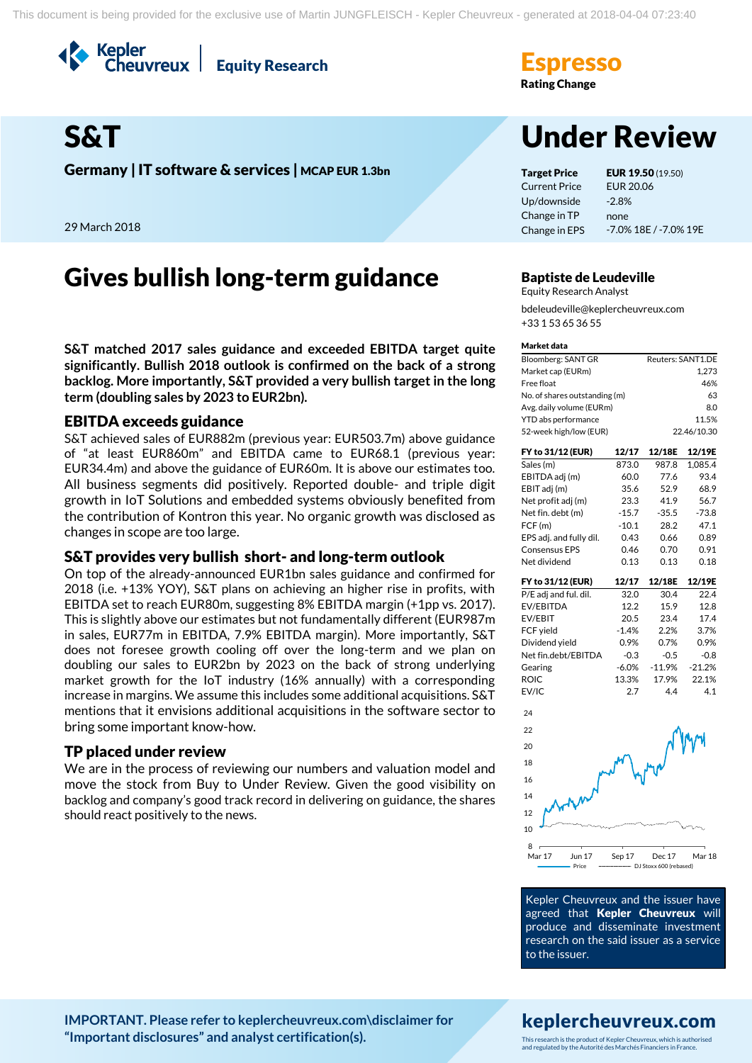Kepler<br>Cheuvreux **Equity Research** 



**Germany | IT software & services | MCAP EUR 1.3bn Target Price EUR 19.50** (19.50)

29 March 2018

## Gives bullish long-term guidance Baptiste de Leudeville

**S&T matched 2017 sales guidance and exceeded EBITDA target quite significantly. Bullish 2018 outlook is confirmed on the back of a strong backlog. More importantly, S&T provided a very bullish target in the long term (doubling sales by 2023 to EUR2bn).** 

### EBITDA exceeds guidance

S&T achieved sales of EUR882m (previous year: EUR503.7m) above guidance of "at least EUR860m" and EBITDA came to EUR68.1 (previous year: EUR34.4m) and above the guidance of EUR60m. It is above our estimates too. All business segments did positively. Reported double- and triple digit growth in IoT Solutions and embedded systems obviously benefited from the contribution of Kontron this year. No organic growth was disclosed as changes in scope are too large.

### S&T provides very bullish short- and long-term outlook

On top of the already-announced EUR1bn sales guidance and confirmed for 2018 (i.e. +13% YOY), S&T plans on achieving an higher rise in profits, with EBITDA set to reach EUR80m, suggesting 8% EBITDA margin (+1pp vs. 2017). This is slightly above our estimates but not fundamentally different (EUR987m in sales, EUR77m in EBITDA, 7.9% EBITDA margin). More importantly, S&T does not foresee growth cooling off over the long-term and we plan on doubling our sales to EUR2bn by 2023 on the back of strong underlying market growth for the IoT industry (16% annually) with a corresponding increase in margins. We assume this includes some additional acquisitions. S&T mentions that it envisions additional acquisitions in the software sector to bring some important know-how.

### TP placed under review

We are in the process of reviewing our numbers and valuation model and move the stock from Buy to Under Review. Given the good visibility on backlog and company's good track record in delivering on guidance, the shares should react positively to the news.

**Rating Change** 

# S&T Under Review

Current Price Up/downside Change in TP Change in EPS EUR 20.06 -2.8% none -7.0% 18E / -7.0% 19E

Equity Research Analyst bdeleudeville@keplercheuvreux.com +33 1 53 65 36 55

#### Market data

| Bloomberg: SANT GR            | Reuters: SANT1.DE |
|-------------------------------|-------------------|
| Market cap (EURm)             | 1.273             |
| Free float                    | 46%               |
| No. of shares outstanding (m) | 63                |
| Avg. daily volume (EURm)      | 8.0               |
| YTD abs performance           | 11.5%             |
| 52-week high/low (EUR)        | 22.46/10.30       |

| FY to 31/12 (EUR)       | 12/17   | 12/18E   | 12/19E   |
|-------------------------|---------|----------|----------|
| Sales (m)               | 873.0   | 987.8    | 1.085.4  |
| EBITDA adj (m)          | 60.0    | 77.6     | 93.4     |
| EBIT adj (m)            | 35.6    | 52.9     | 68.9     |
| Net profit adj (m)      | 23.3    | 41.9     | 56.7     |
| Net fin. debt (m)       | $-15.7$ | $-35.5$  | $-73.8$  |
| FCF (m)                 | $-10.1$ | 28.2     | 47.1     |
| EPS adj. and fully dil. | 0.43    | 0.66     | 0.89     |
| <b>Consensus EPS</b>    | 0.46    | 0.70     | 0.91     |
| Net dividend            | 0.13    | 0.13     | 0.18     |
|                         |         |          |          |
| FY to 31/12 (EUR)       | 12/17   | 12/18E   | 12/19E   |
| P/E adj and ful. dil.   | 32.0    | 30.4     | 22.4     |
| EV/EBITDA               | 12.2    | 15.9     | 12.8     |
| EV/EBIT                 | 20.5    | 23.4     | 17.4     |
| FCF yield               | $-1.4%$ | 2.2%     | 3.7%     |
| Dividend yield          | 0.9%    | 0.7%     | 0.9%     |
| Net fin.debt/EBITDA     | $-0.3$  | $-0.5$   | $-0.8$   |
| Gearing                 | $-6.0%$ | $-11.9%$ | $-21.2%$ |



EV/IC 2.7 4.4 4.1

Kepler Cheuvreux and the issuer have agreed that Kepler Cheuvreux will produce and disseminate investment research on the said issuer as a service to the issuer.

## keplercheuvreux.com

**[IMPORTANT. Please refer to keplercheuvreux.com\disclaimer for](https://research.keplercheuvreux.com/ResearchCenter.aspx#/Disclosure)  ["Important disclosures" and analyst certification\(s\).](https://research.keplercheuvreux.com/ResearchCenter.aspx#/Disclosure)**

This research is the product of Kepler Cheuvreux, which is authorised and regulated by the Autorité des Marchés Financiers in France.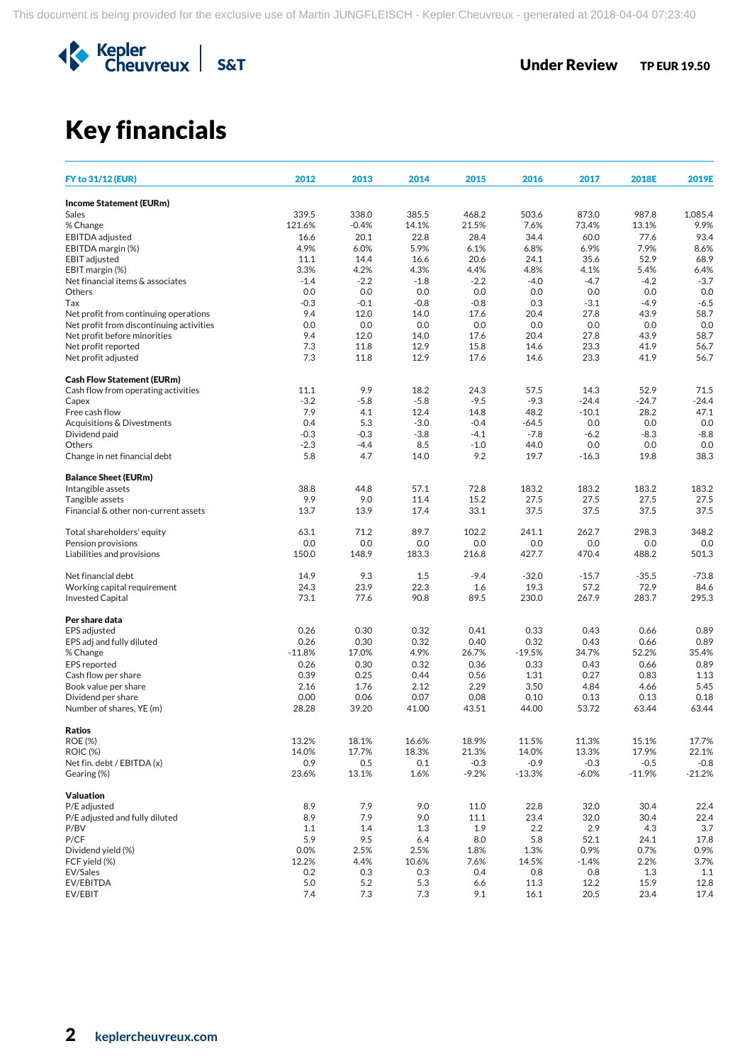

## Key financials

| <b>FY to 31/12 (EUR)</b>                    | 2012          | 2013           | 2014           | 2015          | 2016         | 2017           | 2018E         | 2019E         |
|---------------------------------------------|---------------|----------------|----------------|---------------|--------------|----------------|---------------|---------------|
| <b>Income Statement (EURm)</b>              |               |                |                |               |              |                |               |               |
| Sales                                       | 339.5         | 338.0          | 385.5          | 468.2         | 503.6        | 873.0          | 987.8         | 1,085.4       |
| % Change                                    | 121.6%        | $-0.4%$        | 14.1%          | 21.5%         | 7.6%         | 73.4%          | 13.1%         | 9.9%          |
| EBITDA adjusted                             | 16.6          | 20.1           | 22.8           | 28.4          | 34.4         | 60.0           | 77.6          | 93.4          |
| EBITDA margin (%)                           | 4.9%          | 6.0%           | 5.9%           | 6.1%          | 6.8%         | 6.9%           | 7.9%          | 8.6%          |
| <b>EBIT</b> adjusted                        | 11.1          | 14.4           | 16.6           | 20.6          | 24.1         | 35.6           | 52.9          | 68.9          |
| EBIT margin (%)                             | 3.3%          | 4.2%           | 4.3%           | 4.4%          | 4.8%         | 4.1%           | 5.4%          | 6.4%          |
| Net financial items & associates            | $-1.4$        | $-2.2$         | $-1.8$         | $-2.2$        | $-4.0$       | $-4.7$         | $-4.2$        | $-3.7$        |
| <b>Others</b><br>Tax                        | 0.0<br>$-0.3$ | 0.0            | 0.0            | 0.0<br>$-0.8$ | 0.0          | 0.0            | 0.0<br>$-4.9$ | 0.0<br>$-6.5$ |
| Net profit from continuing operations       | 9.4           | $-0.1$<br>12.0 | $-0.8$<br>14.0 | 17.6          | 0.3<br>20.4  | $-3.1$<br>27.8 | 43.9          | 58.7          |
| Net profit from discontinuing activities    | 0.0           | 0.0            | 0.0            | 0.0           | 0.0          | 0.0            | 0.0           | 0.0           |
| Net profit before minorities                | 9.4           | 12.0           | 14.0           | 17.6          | 20.4         | 27.8           | 43.9          | 58.7          |
| Net profit reported                         | 7.3           | 11.8           | 12.9           | 15.8          | 14.6         | 23.3           | 41.9          | 56.7          |
| Net profit adjusted                         | 7.3           | 11.8           | 12.9           | 17.6          | 14.6         | 23.3           | 41.9          | 56.7          |
| <b>Cash Flow Statement (EURm)</b>           |               |                |                |               |              |                |               |               |
| Cash flow from operating activities         | 11.1          | 9.9            | 18.2           | 24.3          | 57.5         | 14.3           | 52.9          | 71.5          |
| Capex                                       | $-3.2$        | $-5.8$         | $-5.8$         | $-9.5$        | $-9.3$       | $-24.4$        | $-24.7$       | $-24.4$       |
| Free cash flow                              | 7.9           | 4.1            | 12.4           | 14.8          | 48.2         | $-10.1$        | 28.2          | 47.1          |
| Acquisitions & Divestments                  | 0.4           | 5.3            | $-3.0$         | $-0.4$        | $-64.5$      | 0.0            | 0.0           | 0.0           |
| Dividend paid                               | $-0.3$        | $-0.3$         | $-3.8$         | $-4.1$        | $-7.8$       | $-6.2$         | $-8.3$        | $-8.8$        |
| Others                                      | $-2.3$        | $-4.4$         | 8.5            | $-1.0$        | 44.0         | 0.0            | 0.0           | 0.0           |
| Change in net financial debt                | 5.8           | 4.7            | 14.0           | 9.2           | 19.7         | $-16.3$        | 19.8          | 38.3          |
| <b>Balance Sheet (EURm)</b>                 |               |                |                |               |              |                |               |               |
| Intangible assets<br>Tangible assets        | 38.8          | 44.8           | 57.1           | 72.8          | 183.2        | 183.2          | 183.2         | 183.2         |
| Financial & other non-current assets        | 9.9<br>13.7   | 9.0<br>13.9    | 11.4<br>17.4   | 15.2<br>33.1  | 27.5<br>37.5 | 27.5<br>37.5   | 27.5<br>37.5  | 27.5<br>37.5  |
|                                             |               |                |                |               |              |                |               |               |
| Total shareholders' equity                  | 63.1          | 71.2           | 89.7           | 102.2         | 241.1        | 262.7          | 298.3         | 348.2         |
| Pension provisions                          | 0.0           | 0.0            | 0.0            | 0.0           | 0.0          | 0.0            | 0.0           | 0.0           |
| Liabilities and provisions                  | 150.0         | 148.9          | 183.3          | 216.8         | 427.7        | 470.4          | 488.2         | 501.3         |
| Net financial debt                          | 14.9          | 9.3            | 1.5            | $-9.4$        | $-32.0$      | $-15.7$        | $-35.5$       | $-73.8$       |
| Working capital requirement                 | 24.3          | 23.9           | 22.3           | 1.6           | 19.3         | 57.2           | 72.9          | 84.6          |
| <b>Invested Capital</b>                     | 73.1          | 77.6           | 90.8           | 89.5          | 230.0        | 267.9          | 283.7         | 295.3         |
| Per share data                              |               |                |                |               |              |                |               |               |
| EPS adjusted                                | 0.26          | 0.30           | 0.32           | 0.41          | 0.33         | 0.43           | 0.66          | 0.89          |
| EPS adj and fully diluted                   | 0.26          | 0.30           | 0.32           | 0.40          | 0.32         | 0.43           | 0.66          | 0.89          |
| % Change                                    | $-11.8%$      | 17.0%          | 4.9%           | 26.7%         | $-19.5%$     | 34.7%          | 52.2%         | 35.4%         |
| <b>EPS</b> reported                         | 0.26          | 0.30           | 0.32           | 0.36          | 0.33         | 0.43           | 0.66          | 0.89          |
| Cash flow per share<br>Book value per share | 0.39<br>2.16  | 0.25<br>1.76   | 0.44<br>2.12   | 0.56<br>2.29  | 1.31<br>3.50 | 0.27<br>4.84   | 0.83<br>4.66  | 1.13<br>5.45  |
| Dividend per share                          | 0.00          | 0.06           | 0.07           | 0.08          | 0.10         | 0.13           | 0.13          | 0.18          |
| Number of shares, YE (m)                    | 28.28         | 39.20          | 41.00          | 43.51         | 44.00        | 53.72          | 63.44         | 63.44         |
| <b>Ratios</b>                               |               |                |                |               |              |                |               |               |
| <b>ROE (%)</b>                              | 13.2%         | 18.1%          | 16.6%          | 18.9%         | 11.5%        | 11.3%          | 15.1%         | 17.7%         |
| <b>ROIC (%)</b>                             | 14.0%         | 17.7%          | 18.3%          | 21.3%         | 14.0%        | 13.3%          | 17.9%         | 22.1%         |
| Net fin. debt / EBITDA (x)                  | 0.9           | $0.5\,$        | 0.1            | $-0.3$        | $-0.9$       | $-0.3$         | $-0.5$        | $-0.8$        |
| Gearing (%)                                 | 23.6%         | 13.1%          | 1.6%           | $-9.2%$       | $-13.3%$     | $-6.0%$        | $-11.9%$      | $-21.2%$      |
| <b>Valuation</b>                            |               |                |                |               |              |                |               |               |
| P/E adjusted                                | 8.9           | 7.9            | 9.0            | 11.0          | 22.8         | 32.0           | 30.4          | 22.4          |
| P/E adjusted and fully diluted              | 8.9           | 7.9            | 9.0            | 11.1          | 23.4         | 32.0           | 30.4          | 22.4          |
| P/BV                                        | 1.1           | 1.4            | 1.3            | 1.9           | 2.2          | 2.9            | 4.3           | 3.7           |
| P/CF                                        | 5.9           | 9.5            | 6.4            | 8.0           | 5.8          | 52.1           | 24.1          | 17.8          |
| Dividend yield (%)                          | 0.0%          | 2.5%           | 2.5%           | 1.8%          | 1.3%         | 0.9%           | 0.7%          | 0.9%          |
| FCF yield (%)<br>EV/Sales                   | 12.2%<br>0.2  | 4.4%           | 10.6%          | 7.6%<br>0.4   | 14.5%        | $-1.4%$        | 2.2%          | 3.7%<br>1.1   |
| EV/EBITDA                                   | 5.0           | 0.3<br>5.2     | 0.3<br>5.3     | 6.6           | 0.8<br>11.3  | 0.8<br>12.2    | 1.3<br>15.9   | 12.8          |
| EV/EBIT                                     | 7.4           | 7.3            | 7.3            | 9.1           | 16.1         | 20.5           | 23.4          | 17.4          |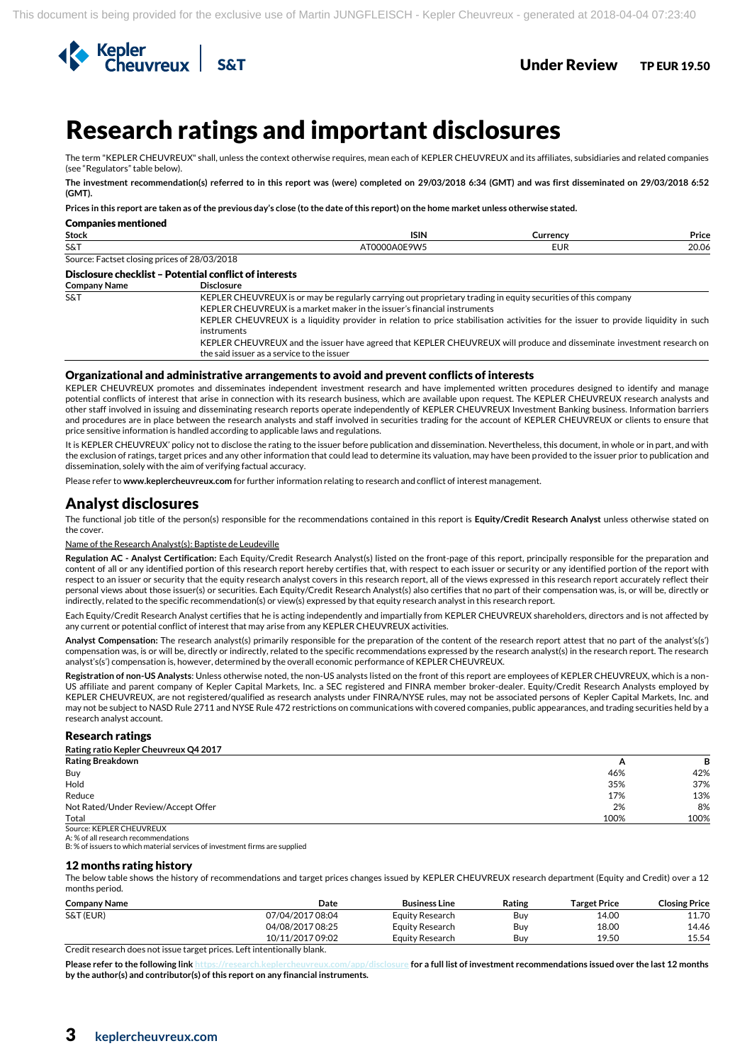

## <sup>3</sup>Research ratings and important disclosures

The term "KEPLER CHEUVREUX" shall, unless the context otherwise requires, mean each of KEPLER CHEUVREUX and its affiliates, subsidiaries and related companies (see "Regulators" table below).

**The investment recommendation(s) referred to in this report was (were) completed on 29/03/2018 6:34 (GMT) and was first disseminated on 29/03/2018 6:52 (GMT).**

**Prices in this report are taken as of the previous day's close (to the date of this report) on the home market unless otherwise stated.**

| <b>Companies mentioned</b>                   |                                                                                                                                                                     |              |            |       |
|----------------------------------------------|---------------------------------------------------------------------------------------------------------------------------------------------------------------------|--------------|------------|-------|
| <b>Stock</b>                                 |                                                                                                                                                                     | <b>ISIN</b>  | Currency   | Price |
| S&T                                          |                                                                                                                                                                     | AT0000A0E9W5 | <b>EUR</b> | 20.06 |
| Source: Factset closing prices of 28/03/2018 |                                                                                                                                                                     |              |            |       |
|                                              | Disclosure checklist - Potential conflict of interests                                                                                                              |              |            |       |
| <b>Company Name</b>                          | <b>Disclosure</b>                                                                                                                                                   |              |            |       |
| <b>S&amp;T</b>                               | KEPLER CHEUVREUX is or may be regularly carrying out proprietary trading in equity securities of this company                                                       |              |            |       |
|                                              | KEPLER CHEUVREUX is a market maker in the issuer's financial instruments                                                                                            |              |            |       |
|                                              | KEPLER CHEUVREUX is a liquidity provider in relation to price stabilisation activities for the issuer to provide liquidity in such<br>instruments                   |              |            |       |
|                                              | KEPLER CHEUVREUX and the issuer have agreed that KEPLER CHEUVREUX will produce and disseminate investment research on<br>the said issuer as a service to the issuer |              |            |       |

#### Organizational and administrative arrangements to avoid and prevent conflicts of interests

KEPLER CHEUVREUX promotes and disseminates independent investment research and have implemented written procedures designed to identify and manage potential conflicts of interest that arise in connection with its research business, which are available upon request. The KEPLER CHEUVREUX research analysts and other staff involved in issuing and disseminating research reports operate independently of KEPLER CHEUVREUX Investment Banking business. Information barriers and procedures are in place between the research analysts and staff involved in securities trading for the account of KEPLER CHEUVREUX or clients to ensure that price sensitive information is handled according to applicable laws and regulations.

It is KEPLER CHEUVREUX' policy not to disclose the rating to the issuer before publication and dissemination. Nevertheless, this document, in whole or in part, and with the exclusion of ratings, target prices and any other information that could lead to determine its valuation, may have been provided to the issuer prior to publication and dissemination, solely with the aim of verifying factual accuracy.

Please refer to **www.keplercheuvreux.com** for further information relating to research and conflict of interest management.

### Analyst disclosures

The functional job title of the person(s) responsible for the recommendations contained in this report is **Equity/Credit Research Analyst** unless otherwise stated on the cover.

#### Name of the Research Analyst(s): Baptiste de Leudeville

**Regulation AC - Analyst Certification:** Each Equity/Credit Research Analyst(s) listed on the front-page of this report, principally responsible for the preparation and content of all or any identified portion of this research report hereby certifies that, with respect to each issuer or security or any identified portion of the report with respect to an issuer or security that the equity research analyst covers in this research report, all of the views expressed in this research report accurately reflect their personal views about those issuer(s) or securities. Each Equity/Credit Research Analyst(s) also certifies that no part of their compensation was, is, or will be, directly or indirectly, related to the specific recommendation(s) or view(s) expressed by that equity research analyst in this research report.

Each Equity/Credit Research Analyst certifies that he is acting independently and impartially from KEPLER CHEUVREUX shareholders, directors and is not affected by any current or potential conflict of interest that may arise from any KEPLER CHEUVREUX activities.

**Analyst Compensation:** The research analyst(s) primarily responsible for the preparation of the content of the research report attest that no part of the analyst's(s') compensation was, is or will be, directly or indirectly, related to the specific recommendations expressed by the research analyst(s) in the research report. The research analyst's(s') compensation is, however, determined by the overall economic performance of KEPLER CHEUVREUX.

**Registration of non-US Analysts**: Unless otherwise noted, the non-US analysts listed on the front of this report are employees of KEPLER CHEUVREUX, which is a non-US affiliate and parent company of Kepler Capital Markets, Inc. a SEC registered and FINRA member broker-dealer. Equity/Credit Research Analysts employed by KEPLER CHEUVREUX, are not registered/qualified as research analysts under FINRA/NYSE rules, may not be associated persons of Kepler Capital Markets, Inc. and may not be subject to NASD Rule 2711 and NYSE Rule 472 restrictions on communications with covered companies, public appearances, and trading securities held by a research analyst account.

#### Research ratings

| Rating ratio Kepler Cheuvreux Q4 2017 |      |      |
|---------------------------------------|------|------|
| <b>Rating Breakdown</b>               | A    | В    |
| Buy                                   | 46%  | 42%  |
| Hold                                  | 35%  | 37%  |
| Reduce                                | 17%  | 13%  |
| Not Rated/Under Review/Accept Offer   | 2%   | 8%   |
| Total                                 | 100% | 100% |
| Source: KEPLER CHEUVREUX              |      |      |

A: % of all research recommendations

B: % of issuers to which material services of investment firms are supplied

#### 12 months rating history

The below table shows the history of recommendations and target prices changes issued by KEPLER CHEUVREUX research department (Equity and Credit) over a 12 months period.

| <b>Company Name</b> | Date             | <b>Business Line</b> | Rating | Target Price | <b>Closing Price</b> |
|---------------------|------------------|----------------------|--------|--------------|----------------------|
| S&T (EUR)           | 07/04/2017 08:04 | Equity Research      | Buv    | 14.00        | 11.70                |
|                     | 04/08/2017 08:25 | Equity Research      | Buv    | 18.00        | 14.46                |
|                     | 10/11/2017 09:02 | Equity Research      | Buv    | 19.50        | 15.54                |
|                     |                  |                      |        |              |                      |

Credit research does not issue target prices. Left intentionally blank.

**Please refer to the following lin[k https://research.keplercheuvreux.com/app/disclosure](https://research.keplercheuvreux.com/app/disclosure/stock/8466) for a full list of investment recommendations issued over the last 12 months by the author(s) and contributor(s) of this report on any financial instruments.**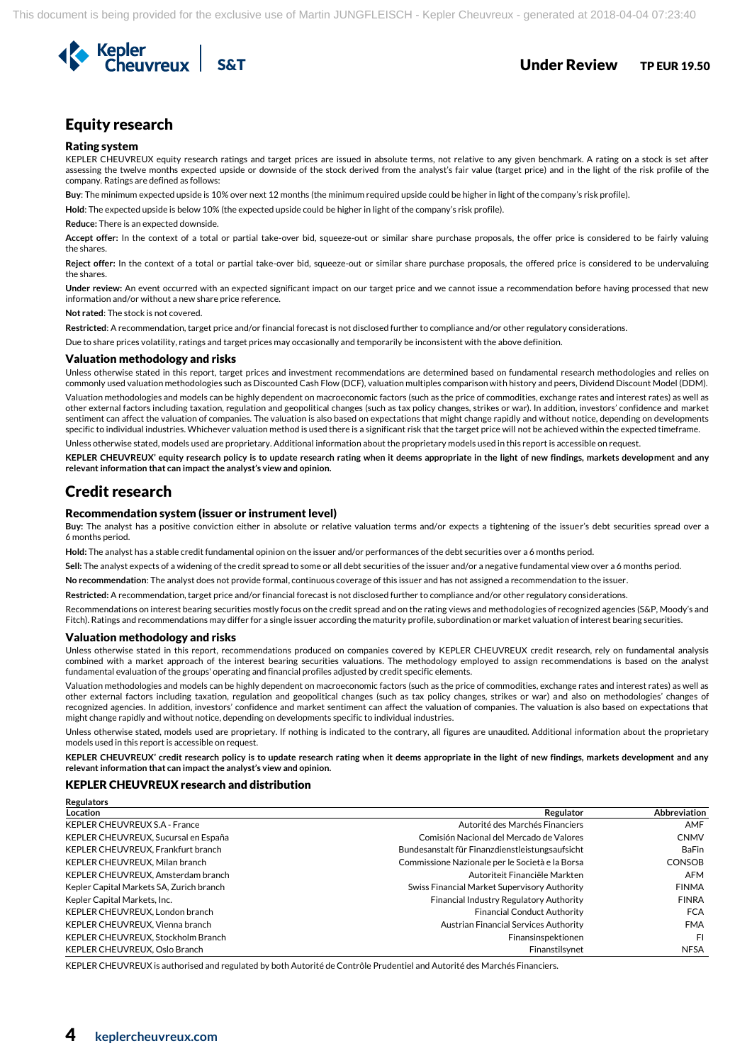

## Equity research

#### Rating system

KEPLER CHEUVREUX equity research ratings and target prices are issued in absolute terms, not relative to any given benchmark. A rating on a stock is set after assessing the twelve months expected upside or downside of the stock derived from the analyst's fair value (target price) and in the light of the risk profile of the company. Ratings are defined as follows:

**Buy**: The minimum expected upside is 10% over next 12 months (the minimum required upside could be higher in light of the company's risk profile).

**Hold**: The expected upside is below 10% (the expected upside could be higher in light of the company's risk profile).

#### **Reduce:** There is an expected downside.

**Accept offer:** In the context of a total or partial take-over bid, squeeze-out or similar share purchase proposals, the offer price is considered to be fairly valuing the shares.

**Reject offer:** In the context of a total or partial take-over bid, squeeze-out or similar share purchase proposals, the offered price is considered to be undervaluing the shares.

**Under review:** An event occurred with an expected significant impact on our target price and we cannot issue a recommendation before having processed that new information and/or without a new share price reference.

**Not rated**: The stock is not covered.

**Restricted**: A recommendation, target price and/or financial forecast is not disclosed further to compliance and/or other regulatory considerations.

Due to share prices volatility, ratings and target prices may occasionally and temporarily be inconsistent with the above definition.

#### Valuation methodology and risks

Unless otherwise stated in this report, target prices and investment recommendations are determined based on fundamental research methodologies and relies on commonly used valuation methodologies such as Discounted Cash Flow (DCF), valuation multiples comparison with history and peers, Dividend Discount Model (DDM). Valuation methodologies and models can be highly dependent on macroeconomic factors (such as the price of commodities, exchange rates and interest rates) as well as

other external factors including taxation, regulation and geopolitical changes (such as tax policy changes, strikes or war). In addition, investors' confidence and market sentiment can affect the valuation of companies. The valuation is also based on expectations that might change rapidly and without notice, depending on developments specific to individual industries. Whichever valuation method is used there is a significant risk that the target price will not be achieved within the expected timeframe.

Unless otherwise stated, models used are proprietary. Additional information about the proprietary models used in this report is accessible on request.

**KEPLER CHEUVREUX' equity research policy is to update research rating when it deems appropriate in the light of new findings, markets development and any relevant information that can impact the analyst's view and opinion.**

## Credit research

**Regulators** 

#### Recommendation system (issuer or instrument level)

**Buy:** The analyst has a positive conviction either in absolute or relative valuation terms and/or expects a tightening of the issuer's debt securities spread over a 6 months period.

**Hold:** The analyst has a stable credit fundamental opinion on the issuer and/or performances of the debt securities over a 6 months period.

**Sell:** The analyst expects of a widening of the credit spread to some or all debt securities of the issuer and/or a negative fundamental view over a 6 months period.

**No recommendation**: The analyst does not provide formal, continuous coverage of this issuer and has not assigned a recommendation to the issuer.

**Restricted:** A recommendation, target price and/or financial forecast is not disclosed further to compliance and/or other regulatory considerations.

Recommendations on interest bearing securities mostly focus on the credit spread and on the rating views and methodologies of recognized agencies (S&P, Moody's and Fitch). Ratings and recommendations may differ for a single issuer according the maturity profile, subordination or market valuation of interest bearing securities.

#### Valuation methodology and risks

Unless otherwise stated in this report, recommendations produced on companies covered by KEPLER CHEUVREUX credit research, rely on fundamental analysis combined with a market approach of the interest bearing securities valuations. The methodology employed to assign recommendations is based on the analyst fundamental evaluation of the groups' operating and financial profiles adjusted by credit specific elements.

Valuation methodologies and models can be highly dependent on macroeconomic factors (such as the price of commodities, exchange rates and interest rates) as well as other external factors including taxation, regulation and geopolitical changes (such as tax policy changes, strikes or war) and also on methodologies' changes of recognized agencies. In addition, investors' confidence and market sentiment can affect the valuation of companies. The valuation is also based on expectations that might change rapidly and without notice, depending on developments specific to individual industries.

Unless otherwise stated, models used are proprietary. If nothing is indicated to the contrary, all figures are unaudited. Additional information about the proprietary models used in this report is accessible on request.

**KEPLER CHEUVREUX' credit research policy is to update research rating when it deems appropriate in the light of new findings, markets development and any relevant information that can impact the analyst's view and opinion.** 

#### KEPLER CHEUVREUX research and distribution

| Regulators                               |                                                 |               |
|------------------------------------------|-------------------------------------------------|---------------|
| Location                                 | Regulator                                       | Abbreviation  |
| <b>KEPLER CHEUVREUX S.A - France</b>     | Autorité des Marchés Financiers                 | AMF           |
| KEPLER CHEUVREUX, Sucursal en España     | Comisión Nacional del Mercado de Valores        | <b>CNMV</b>   |
| KEPLER CHEUVREUX, Frankfurt branch       | Bundesanstalt für Finanzdienstleistungsaufsicht | <b>BaFin</b>  |
| KEPLER CHEUVREUX, Milan branch           | Commissione Nazionale per le Società e la Borsa | <b>CONSOB</b> |
| KEPLER CHEUVREUX, Amsterdam branch       | Autoriteit Financiële Markten                   | <b>AFM</b>    |
| Kepler Capital Markets SA, Zurich branch | Swiss Financial Market Supervisory Authority    | <b>FINMA</b>  |
| Kepler Capital Markets, Inc.             | Financial Industry Regulatory Authority         | <b>FINRA</b>  |
| KEPLER CHEUVREUX, London branch          | <b>Financial Conduct Authority</b>              | <b>FCA</b>    |
| KEPLER CHEUVREUX, Vienna branch          | Austrian Financial Services Authority           | <b>FMA</b>    |
| KEPLER CHEUVREUX. Stockholm Branch       | Finansinspektionen                              | <b>FI</b>     |
| KEPLER CHEUVREUX. Oslo Branch            | Finanstilsvnet                                  | <b>NFSA</b>   |

KEPLER CHEUVREUX is authorised and regulated by both Autorité de Contrôle Prudentiel and Autorité des Marchés Financiers.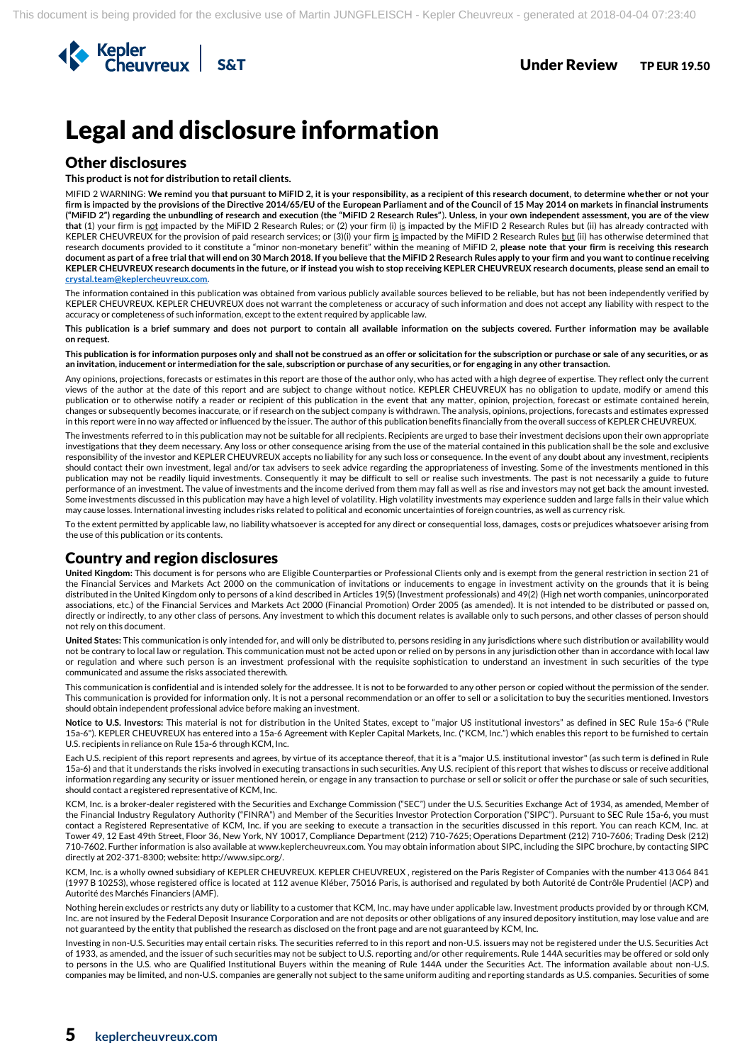

## Legal and disclosure information

## Other disclosures

**This product is not for distribution to retail clients.**

MIFID 2 WARNING: **We remind you that pursuant to MiFID 2, it is your responsibility, as a recipient of this research document, to determine whether or not your firm is impacted by the provisions of the Directive 2014/65/EU of the European Parliament and of the Council of 15 May 2014 on markets in financial instruments ("MiFID 2") regarding the unbundling of research and execution (the "MiFID 2 Research Rules"**)**. Unless, in your own independent assessment, you are of the view that** (1) your firm is not impacted by the MiFID 2 Research Rules; or (2) your firm (i) is impacted by the MiFID 2 Research Rules but (ii) has already contracted with KEPLER CHEUVREUX for the provision of paid research services; or (3)(i) your firm is impacted by the MiFID 2 Research Rules but (ii) has otherwise determined that research documents provided to it constitute a "minor non-monetary benefit" within the meaning of MiFID 2, **please note that your firm is receiving this research document as part of a free trial that will end on 30 March 2018. If you believe that the MiFID 2 Research Rules apply to your firm and you want to continue receiving KEPLER CHEUVREUX research documents in the future, or if instead you wish to stop receiving KEPLER CHEUVREUX research documents, please send an email to [crystal.team@keplercheuvreux.com.](mailto:crystal.team@keplercheuvreux.com)**

The information contained in this publication was obtained from various publicly available sources believed to be reliable, but has not been independently verified by KEPLER CHEUVREUX. KEPLER CHEUVREUX does not warrant the completeness or accuracy of such information and does not accept any liability with respect to the accuracy or completeness of such information, except to the extent required by applicable law.

**This publication is a brief summary and does not purport to contain all available information on the subjects covered. Further information may be available on request.**

**This publication is for information purposes only and shall not be construed as an offer or solicitation for the subscription or purchase or sale of any securities, or as an invitation, inducement or intermediation for the sale, subscription or purchase of any securities, or for engaging in any other transaction.**

Any opinions, projections, forecasts or estimates in this report are those of the author only, who has acted with a high degree of expertise. They reflect only the current views of the author at the date of this report and are subject to change without notice. KEPLER CHEUVREUX has no obligation to update, modify or amend this publication or to otherwise notify a reader or recipient of this publication in the event that any matter, opinion, projection, forecast or estimate contained herein, changes or subsequently becomes inaccurate, or if research on the subject company is withdrawn. The analysis, opinions, projections, forecasts and estimates expressed in this report were in no way affected or influenced by the issuer. The author of this publication benefits financially from the overall success of KEPLER CHEUVREUX.

The investments referred to in this publication may not be suitable for all recipients. Recipients are urged to base their investment decisions upon their own appropriate investigations that they deem necessary. Any loss or other consequence arising from the use of the material contained in this publication shall be the sole and exclusive responsibility of the investor and KEPLER CHEUVREUX accepts no liability for any such loss or consequence. In the event of any doubt about any investment, recipients should contact their own investment, legal and/or tax advisers to seek advice regarding the appropriateness of investing. Some of the investments mentioned in this publication may not be readily liquid investments. Consequently it may be difficult to sell or realise such investments. The past is not necessarily a guide to future performance of an investment. The value of investments and the income derived from them may fall as well as rise and investors may not get back the amount invested. Some investments discussed in this publication may have a high level of volatility. High volatility investments may experience sudden and large falls in their value which may cause losses. International investing includes risks related to political and economic uncertainties of foreign countries, as well as currency risk.

To the extent permitted by applicable law, no liability whatsoever is accepted for any direct or consequential loss, damages, costs or prejudices whatsoever arising from the use of this publication or its contents.

## Country and region disclosures

**United Kingdom:** This document is for persons who are Eligible Counterparties or Professional Clients only and is exempt from the general restriction in section 21 of the Financial Services and Markets Act 2000 on the communication of invitations or inducements to engage in investment activity on the grounds that it is being distributed in the United Kingdom only to persons of a kind described in Articles 19(5) (Investment professionals) and 49(2) (High net worth companies, unincorporated associations, etc.) of the Financial Services and Markets Act 2000 (Financial Promotion) Order 2005 (as amended). It is not intended to be distributed or passed on, directly or indirectly, to any other class of persons. Any investment to which this document relates is available only to such persons, and other classes of person should not rely on this document.

**United States:** This communication is only intended for, and will only be distributed to, persons residing in any jurisdictions where such distribution or availability would not be contrary to local law or regulation. This communication must not be acted upon or relied on by persons in any jurisdiction other than in accordance with local law or regulation and where such person is an investment professional with the requisite sophistication to understand an investment in such securities of the type communicated and assume the risks associated therewith.

This communication is confidential and is intended solely for the addressee. It is not to be forwarded to any other person or copied without the permission of the sender. This communication is provided for information only. It is not a personal recommendation or an offer to sell or a solicitation to buy the securities mentioned. Investors should obtain independent professional advice before making an investment.

**Notice to U.S. Investors:** This material is not for distribution in the United States, except to "major US institutional investors" as defined in SEC Rule 15a-6 ("Rule 15a-6"). KEPLER CHEUVREUX has entered into a 15a-6 Agreement with Kepler Capital Markets, Inc. ("KCM, Inc.") which enables this report to be furnished to certain U.S. recipients in reliance on Rule 15a-6 through KCM, Inc.

Each U.S. recipient of this report represents and agrees, by virtue of its acceptance thereof, that it is a "major U.S. institutional investor" (as such term is defined in Rule 15a-6) and that it understands the risks involved in executing transactions in such securities. Any U.S. recipient of this report that wishes to discuss or receive additional information regarding any security or issuer mentioned herein, or engage in any transaction to purchase or sell or solicit or offer the purchase or sale of such securities, should contact a registered representative of KCM, Inc.

KCM, Inc. is a broker-dealer registered with the Securities and Exchange Commission ("SEC") under the U.S. Securities Exchange Act of 1934, as amended, Member of the Financial Industry Regulatory Authority ("FINRA") and Member of the Securities Investor Protection Corporation ("SIPC"). Pursuant to SEC Rule 15a-6, you must contact a Registered Representative of KCM, Inc. if you are seeking to execute a transaction in the securities discussed in this report. You can reach KCM, Inc. at Tower 49, 12 East 49th Street, Floor 36, New York, NY 10017, Compliance Department (212) 710-7625; Operations Department (212) 710-7606; Trading Desk (212) 710-7602. Further information is also available at www.keplercheuvreux.com. You may obtain information about SIPC, including the SIPC brochure, by contacting SIPC directly at 202-371-8300; website: http://www.sipc.org/.

KCM, Inc. is a wholly owned subsidiary of KEPLER CHEUVREUX. KEPLER CHEUVREUX , registered on the Paris Register of Companies with the number 413 064 841 (1997 B 10253), whose registered office is located at 112 avenue Kléber, 75016 Paris, is authorised and regulated by both Autorité de Contrôle Prudentiel (ACP) and Autorité des Marchés Financiers (AMF).

Nothing herein excludes or restricts any duty or liability to a customer that KCM. Inc. may have under applicable law. Investment products provided by or through KCM. Inc. are not insured by the Federal Deposit Insurance Corporation and are not deposits or other obligations of any insured depository institution, may lose value and are not guaranteed by the entity that published the research as disclosed on the front page and are not guaranteed by KCM, Inc.

Investing in non-U.S. Securities may entail certain risks. The securities referred to in this report and non-U.S. issuers may not be registered under the U.S. Securities Act of 1933, as amended, and the issuer of such securities may not be subject to U.S. reporting and/or other requirements. Rule 144A securities may be offered or sold only to persons in the U.S. who are Qualified Institutional Buyers within the meaning of Rule 144A under the Securities Act. The information available about non-U.S. companies may be limited, and non-U.S. companies are generally not subject to the same uniform auditing and reporting standards as U.S. companies. Securities of some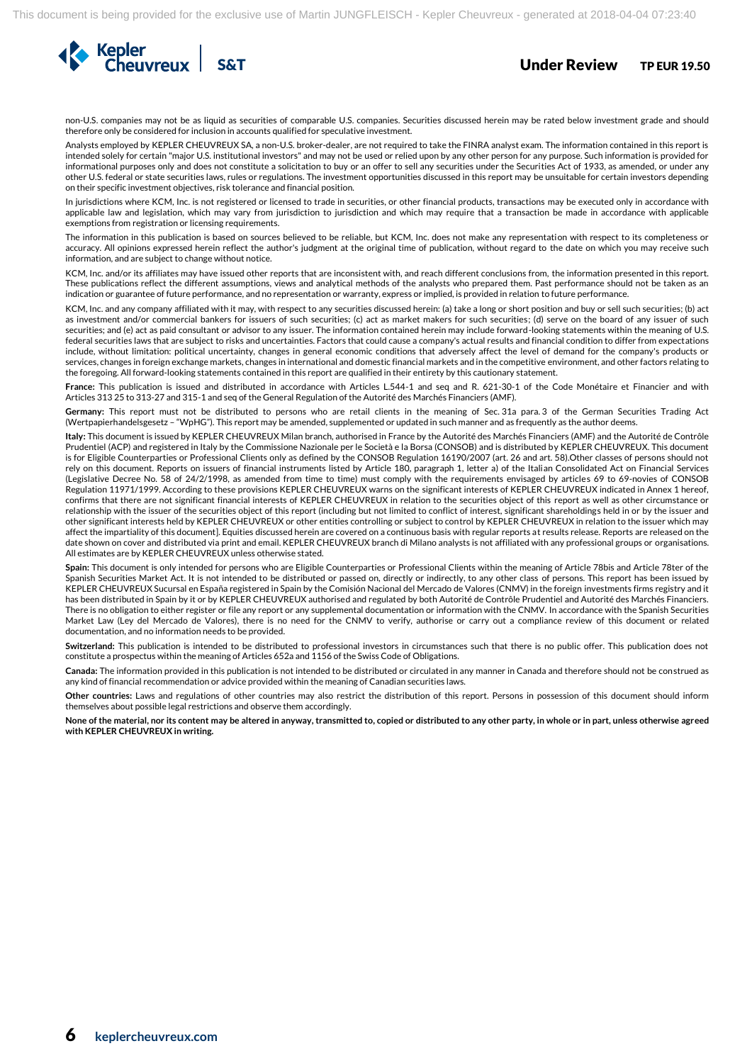

non-U.S. companies may not be as liquid as securities of comparable U.S. companies. Securities discussed herein may be rated below investment grade and should therefore only be considered for inclusion in accounts qualified for speculative investment.

Analysts employed by KEPLER CHEUVREUX SA, a non-U.S. broker-dealer, are not required to take the FINRA analyst exam. The information contained in this report is intended solely for certain "major U.S. institutional investors" and may not be used or relied upon by any other person for any purpose. Such information is provided for informational purposes only and does not constitute a solicitation to buy or an offer to sell any securities under the Securities Act of 1933, as amended, or under any other U.S. federal or state securities laws, rules or regulations. The investment opportunities discussed in this report may be unsuitable for certain investors depending on their specific investment objectives, risk tolerance and financial position.

In jurisdictions where KCM, Inc. is not registered or licensed to trade in securities, or other financial products, transactions may be executed only in accordance with applicable law and legislation, which may vary from jurisdiction to jurisdiction and which may require that a transaction be made in accordance with applicable exemptions from registration or licensing requirements.

The information in this publication is based on sources believed to be reliable, but KCM, Inc. does not make any representation with respect to its completeness or accuracy. All opinions expressed herein reflect the author's judgment at the original time of publication, without regard to the date on which you may receive such information, and are subject to change without notice.

KCM, Inc. and/or its affiliates may have issued other reports that are inconsistent with, and reach different conclusions from, the information presented in this report. These publications reflect the different assumptions, views and analytical methods of the analysts who prepared them. Past performance should not be taken as an indication or guarantee of future performance, and no representation or warranty, express or implied, is provided in relation to future performance.

KCM, Inc. and any company affiliated with it may, with respect to any securities discussed herein: (a) take a long or short position and buy or sell such securities; (b) act as investment and/or commercial bankers for issuers of such securities; (c) act as market makers for such securities; (d) serve on the board of any issuer of such securities; and (e) act as paid consultant or advisor to any issuer. The information contained herein may include forward-looking statements within the meaning of U.S. federal securities laws that are subject to risks and uncertainties. Factors that could cause a company's actual results and financial condition to differ from expectations include, without limitation: political uncertainty, changes in general economic conditions that adversely affect the level of demand for the company's products or services, changes in foreign exchange markets, changes in international and domestic financial markets and in the competitive environment, and other factors relating to the foregoing. All forward-looking statements contained in this report are qualified in their entirety by this cautionary statement.

**France:** This publication is issued and distributed in accordance with Articles L.544-1 and seq and R. 621-30-1 of the Code Monétaire et Financier and with Articles 313 25 to 313-27 and 315-1 and seq of the General Regulation of the Autorité des Marchés Financiers (AMF).

**Germany:** This report must not be distributed to persons who are retail clients in the meaning of Sec. 31a para. 3 of the German Securities Trading Act (Wertpapierhandelsgesetz – "WpHG"). This report may be amended, supplemented or updated in such manner and as frequently as the author deems.

**Italy:** This document is issued by KEPLER CHEUVREUX Milan branch, authorised in France by the Autorité des Marchés Financiers (AMF) and the Autorité de Contrôle Prudentiel (ACP) and registered in Italy by the Commissione Nazionale per le Società e la Borsa (CONSOB) and is distributed by KEPLER CHEUVREUX. This document is for Eligible Counterparties or Professional Clients only as defined by the CONSOB Regulation 16190/2007 (art. 26 and art. 58).Other classes of persons should not rely on this document. Reports on issuers of financial instruments listed by Article 180, paragraph 1, letter a) of the Italian Consolidated Act on Financial Services (Legislative Decree No. 58 of 24/2/1998, as amended from time to time) must comply with the requirements envisaged by articles 69 to 69-novies of CONSOB Regulation 11971/1999. According to these provisions KEPLER CHEUVREUX warns on the significant interests of KEPLER CHEUVREUX indicated in Annex 1 hereof, confirms that there are not significant financial interests of KEPLER CHEUVREUX in relation to the securities object of this report as well as other circumstance or relationship with the issuer of the securities object of this report (including but not limited to conflict of interest, significant shareholdings held in or by the issuer and other significant interests held by KEPLER CHEUVREUX or other entities controlling or subject to control by KEPLER CHEUVREUX in relation to the issuer which may affect the impartiality of this document]. Equities discussed herein are covered on a continuous basis with regular reports at results release. Reports are released on the date shown on cover and distributed via print and email. KEPLER CHEUVREUX branch di Milano analysts is not affiliated with any professional groups or organisations. All estimates are by KEPLER CHEUVREUX unless otherwise stated.

**Spain:** This document is only intended for persons who are Eligible Counterparties or Professional Clients within the meaning of Article 78bis and Article 78ter of the Spanish Securities Market Act. It is not intended to be distributed or passed on, directly or indirectly, to any other class of persons. This report has been issued by KEPLER CHEUVREUX Sucursal en España registered in Spain by the Comisión Nacional del Mercado de Valores (CNMV) in the foreign investments firms registry and it has been distributed in Spain by it or by KEPLER CHEUVREUX authorised and regulated by both Autorité de Contrôle Prudentiel and Autorité des Marchés Financiers. There is no obligation to either register or file any report or any supplemental documentation or information with the CNMV. In accordance with the Spanish Securities Market Law (Ley del Mercado de Valores), there is no need for the CNMV to verify, authorise or carry out a compliance review of this document or related documentation, and no information needs to be provided.

**Switzerland:** This publication is intended to be distributed to professional investors in circumstances such that there is no public offer. This publication does not constitute a prospectus within the meaning of Articles 652a and 1156 of the Swiss Code of Obligations.

**Canada:** The information provided in this publication is not intended to be distributed or circulated in any manner in Canada and therefore should not be construed as any kind of financial recommendation or advice provided within the meaning of Canadian securities laws.

**Other countries:** Laws and regulations of other countries may also restrict the distribution of this report. Persons in possession of this document should inform themselves about possible legal restrictions and observe them accordingly.

**None of the material, nor its content may be altered in anyway, transmitted to, copied or distributed to any other party, in whole or in part, unless otherwise agreed with KEPLER CHEUVREUX in writing.**